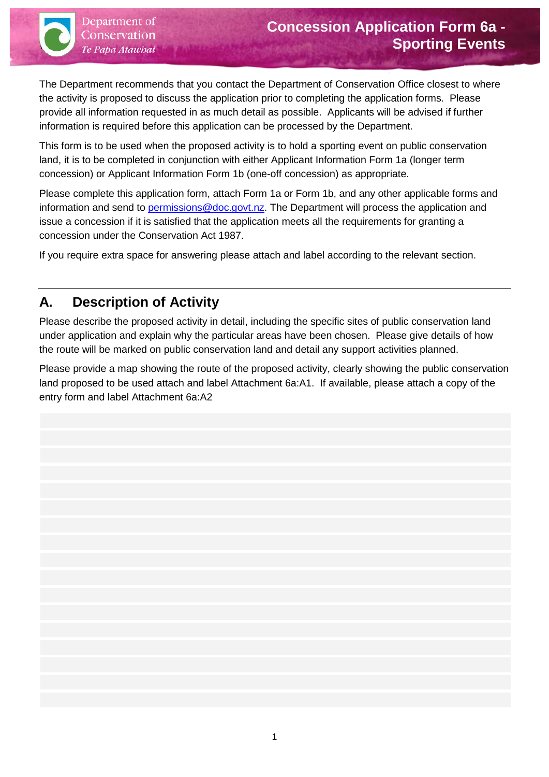The Department recommends that you contact the Department of Conservation Office closest to where the activity is proposed to discuss the application prior to completing the application forms. Please provide all information requested in as much detail as possible. Applicants will be advised if further information is required before this application can be processed by the Department.

This form is to be used when the proposed activity is to hold a sporting event on public conservation land, it is to be completed in conjunction with either Applicant Information Form 1a (longer term concession) or Applicant Information Form 1b (one-off concession) as appropriate.

Please complete this application form, attach Form 1a or Form 1b, and any other applicable forms and information and send to [permissions@doc.govt.nz.](mailto:permissions@doc.govt.nz) The Department will process the application and issue a concession if it is satisfied that the application meets all the requirements for granting a concession under the Conservation Act 1987.

If you require extra space for answering please attach and label according to the relevant section.

# **A. Description of Activity**

Please describe the proposed activity in detail, including the specific sites of public conservation land under application and explain why the particular areas have been chosen. Please give details of how the route will be marked on public conservation land and detail any support activities planned.

Please provide a map showing the route of the proposed activity, clearly showing the public conservation land proposed to be used attach and label Attachment 6a:A1. If available, please attach a copy of the entry form and label Attachment 6a:A2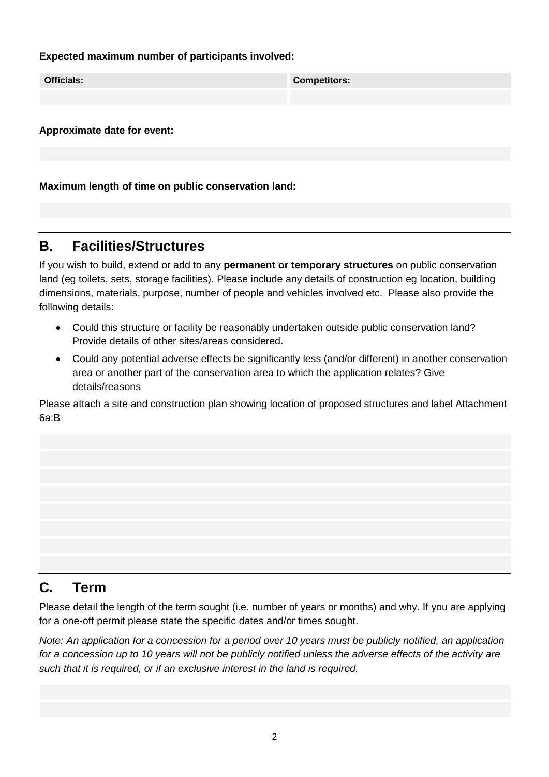#### **Expected maximum number of participants involved:**

| <b>Officials:</b> | <b>Competitors:</b> |  |
|-------------------|---------------------|--|
|                   |                     |  |
|                   |                     |  |

**Approximate date for event:**

**Maximum length of time on public conservation land:**

#### **B. Facilities/Structures**

If you wish to build, extend or add to any **permanent or temporary structures** on public conservation land (eg toilets, sets, storage facilities). Please include any details of construction eg location, building dimensions, materials, purpose, number of people and vehicles involved etc. Please also provide the following details:

- Could this structure or facility be reasonably undertaken outside public conservation land? Provide details of other sites/areas considered.
- Could any potential adverse effects be significantly less (and/or different) in another conservation area or another part of the conservation area to which the application relates? Give details/reasons

Please attach a site and construction plan showing location of proposed structures and label Attachment 6a:B

### **C. Term**

Please detail the length of the term sought (i.e. number of years or months) and why. If you are applying for a one-off permit please state the specific dates and/or times sought.

*Note: An application for a concession for a period over 10 years must be publicly notified, an application for a concession up to 10 years will not be publicly notified unless the adverse effects of the activity are such that it is required, or if an exclusive interest in the land is required.*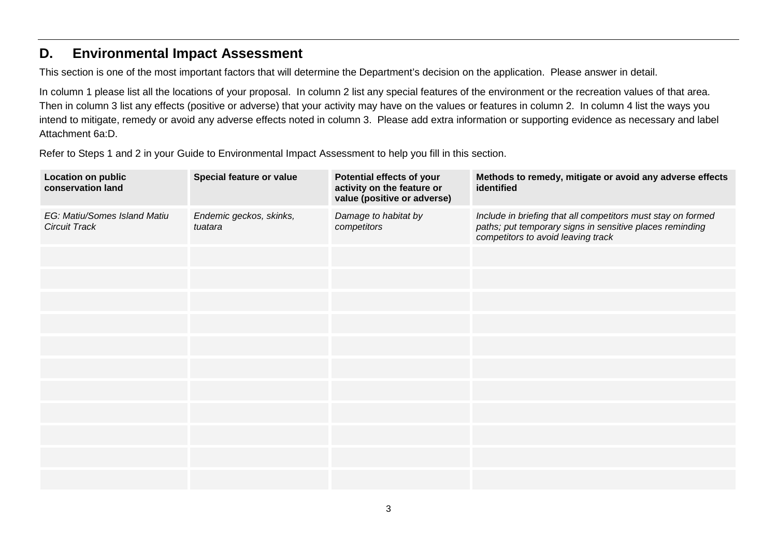#### **D. Environmental Impact Assessment**

This section is one of the most important factors that will determine the Department's decision on the application. Please answer in detail.

In column 1 please list all the locations of your proposal. In column 2 list any special features of the environment or the recreation values of that area. Then in column 3 list any effects (positive or adverse) that your activity may have on the values or features in column 2. In column 4 list the ways you intend to mitigate, remedy or avoid any adverse effects noted in column 3. Please add extra information or supporting evidence as necessary and label Attachment 6a:D.

Refer to Steps 1 and 2 in your Guide to Environmental Impact Assessment to help you fill in this section.

| Location on public<br>conservation land              | Special feature or value           | Potential effects of your<br>activity on the feature or<br>value (positive or adverse) | Methods to remedy, mitigate or avoid any adverse effects<br>identified                                                                                         |
|------------------------------------------------------|------------------------------------|----------------------------------------------------------------------------------------|----------------------------------------------------------------------------------------------------------------------------------------------------------------|
| EG: Matiu/Somes Island Matiu<br><b>Circuit Track</b> | Endemic geckos, skinks,<br>tuatara | Damage to habitat by<br>competitors                                                    | Include in briefing that all competitors must stay on formed<br>paths; put temporary signs in sensitive places reminding<br>competitors to avoid leaving track |
|                                                      |                                    |                                                                                        |                                                                                                                                                                |
|                                                      |                                    |                                                                                        |                                                                                                                                                                |
|                                                      |                                    |                                                                                        |                                                                                                                                                                |
|                                                      |                                    |                                                                                        |                                                                                                                                                                |
|                                                      |                                    |                                                                                        |                                                                                                                                                                |
|                                                      |                                    |                                                                                        |                                                                                                                                                                |
|                                                      |                                    |                                                                                        |                                                                                                                                                                |
|                                                      |                                    |                                                                                        |                                                                                                                                                                |
|                                                      |                                    |                                                                                        |                                                                                                                                                                |
|                                                      |                                    |                                                                                        |                                                                                                                                                                |
|                                                      |                                    |                                                                                        |                                                                                                                                                                |